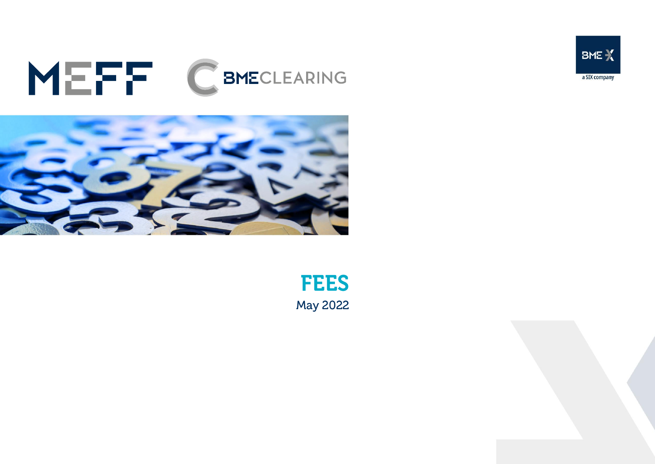## MEFF CBMECLEARING



**FEES May 2022** 



BME X

a SIX company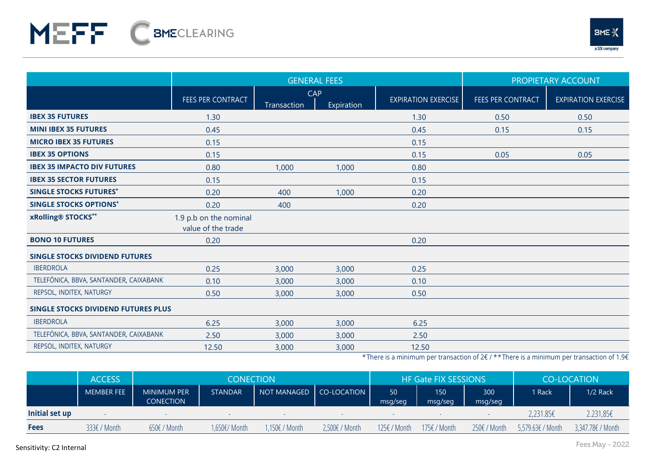

|                                            |                                              | <b>GENERAL FEES</b> | PROPIETARY ACCOUNT |                            |                          |                            |
|--------------------------------------------|----------------------------------------------|---------------------|--------------------|----------------------------|--------------------------|----------------------------|
|                                            | FEES PER CONTRACT                            | CAP<br>Transaction  | Expiration         | <b>EXPIRATION EXERCISE</b> | <b>FEES PER CONTRACT</b> | <b>EXPIRATION EXERCISE</b> |
| <b>IBEX 35 FUTURES</b>                     | 1.30                                         |                     |                    | 1.30                       | 0.50                     | 0.50                       |
| <b>MINI IBEX 35 FUTURES</b>                | 0.45                                         |                     |                    | 0.45                       | 0.15                     | 0.15                       |
| <b>MICRO IBEX 35 FUTURES</b>               | 0.15                                         |                     |                    | 0.15                       |                          |                            |
| <b>IBEX 35 OPTIONS</b>                     | 0.15                                         |                     |                    | 0.15                       | 0.05                     | 0.05                       |
| <b>IBEX 35 IMPACTO DIV FUTURES</b>         | 0.80                                         | 1,000               | 1,000              | 0.80                       |                          |                            |
| <b>IBEX 35 SECTOR FUTURES</b>              | 0.15                                         |                     |                    | 0.15                       |                          |                            |
| <b>SINGLE STOCKS FUTURES*</b>              | 0.20                                         | 400                 | 1,000              | 0.20                       |                          |                            |
| <b>SINGLE STOCKS OPTIONS*</b>              | 0.20                                         | 400                 |                    | 0.20                       |                          |                            |
| xRolling® STOCKS**                         | 1.9 p.b on the nominal<br>value of the trade |                     |                    |                            |                          |                            |
| <b>BONO 10 FUTURES</b>                     | 0.20                                         |                     |                    | 0.20                       |                          |                            |
| <b>SINGLE STOCKS DIVIDEND FUTURES</b>      |                                              |                     |                    |                            |                          |                            |
| <b>IBERDROLA</b>                           | 0.25                                         | 3,000               | 3,000              | 0.25                       |                          |                            |
| TELEFÓNICA, BBVA, SANTANDER, CAIXABANK     | 0.10                                         | 3,000               | 3,000              | 0.10                       |                          |                            |
| REPSOL, INDITEX, NATURGY                   | 0.50                                         | 3,000               | 3,000              | 0.50                       |                          |                            |
| <b>SINGLE STOCKS DIVIDEND FUTURES PLUS</b> |                                              |                     |                    |                            |                          |                            |
| <b>IBERDROLA</b>                           | 6.25                                         | 3,000               | 3,000              | 6.25                       |                          |                            |
| TELEFÓNICA, BBVA, SANTANDER, CAIXABANK     | 2.50                                         | 3,000               | 3,000              | 2.50                       |                          |                            |
| REPSOL, INDITEX, NATURGY                   | 12.50                                        | 3,000               | 3,000              | 12.50                      |                          |                            |

\*There is a minimum per transaction of 2€ / \* \*There is a minimum per transaction of 1.9€

|                | <b>ACCESS</b>     | <b>CONECTION</b>                       |                |                           |                | <b>HF Gate FIX SESSIONS</b> |                |                | CO-LOCATION       |                   |
|----------------|-------------------|----------------------------------------|----------------|---------------------------|----------------|-----------------------------|----------------|----------------|-------------------|-------------------|
|                | <b>MEMBER FEE</b> | <b>MINIMUM PER</b><br><b>CONECTION</b> | <b>STANDAR</b> | NOT MANAGED   CO-LOCATION |                | 50<br>msg/seg               | 150<br>msg/seg | 300<br>msg/seg | 1 Rack            | $1/2$ Rack        |
| Initial set up |                   |                                        |                |                           |                |                             |                |                | $2,231.85 \in$    | 2.231,856         |
| <b>Fees</b>    | 333€ / Month      | $650f /$ Month                         | 1,650€/ Month  | 1,150€ / Month            | 2,500€ / Month | 125€ / Month                | 175€ / Month   | 250€ / Month   | 5,579.63€ / Month | 3,347.78€ / Month |